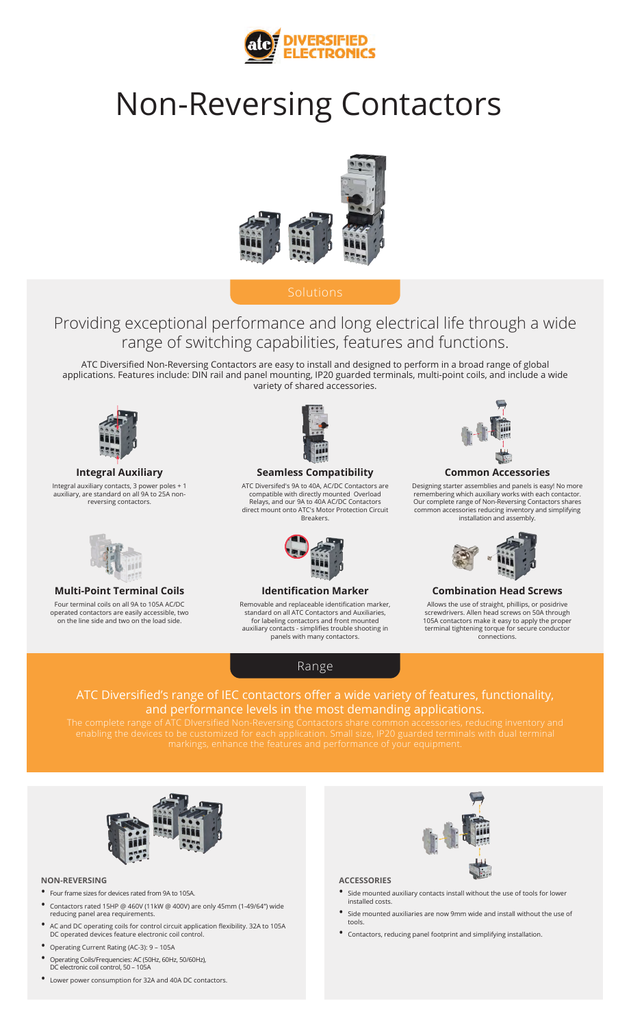

# Non-Reversing Contactors



# Solutions

# Providing exceptional performance and long electrical life through a wide range of switching capabilities, features and functions.

ATC Diversified Non-Reversing Contactors are easy to install and designed to perform in a broad range of global applications. Features include: DIN rail and panel mounting, IP20 guarded terminals, multi-point coils, and include a wide variety of shared accessories.



#### **Integral Auxiliary**

Integral auxiliary contacts, 3 power poles + 1 auxiliary, are standard on all 9A to 25A nonreversing contactors.



## **Multi-Point Terminal Coils**

Four terminal coils on all 9A to 105A AC/DC operated contactors are easily accessible, two on the line side and two on the load side.



#### **Seamless Compatibility**

ATC Diversifed's 9A to 40A, AC/DC Contactors are compatible with directly mounted Overload Relays, and our 9A to 40A AC/DC Contactors direct mount onto ATC's Motor Protection Circuit Breakers.



#### **Identification Marker**

Removable and replaceable identification marker, standard on all ATC Contactors and Auxiliaries, for labeling contactors and front mounted auxiliary contacts - simplifies trouble shooting in panels with many contactors.



Designing starter assemblies and panels is easy! No more remembering which auxiliary works with each contactor. Our complete range of Non-Reversing Contactors shares common accessories reducing inventory and simplifying installation and assembly.



#### **Combination Head Screws**

Allows the use of straight, phillips, or posidrive screwdrivers. Allen head screws on 50A through 105A contactors make it easy to apply the proper terminal tightening torque for secure conductor connections.

Range

### ATC Diversified's range of IEC contactors offer a wide variety of features, functionality, and performance levels in the most demanding applications.



#### **NON-REVERSING**

- Four frame sizes for devices rated from 9A to 105A.
- Contactors rated 15HP @ 460V (11kW @ 400V) are only 45mm (1-49/64") wide reducing panel area requirements.
- AC and DC operating coils for control circuit application flexibility. 32A to 105A DC operated devices feature electronic coil control.
- Operating Current Rating (AC-3): 9 105A
- Operating Coils/Frequencies: AC (50Hz, 60Hz, 50/60Hz), DC electronic coil control, 50 – 105A
- Lower power consumption for 32A and 40A DC contactors.





#### **ACCESSORIES**

- <sup>S</sup>ide mounted auxiliary contacts install without the use of tools for lower installed costs.
- Side mounted auxiliaries are now 9mm wide and install without the use of tools.
- Contactors, reducing panel footprint and simplifying installation.